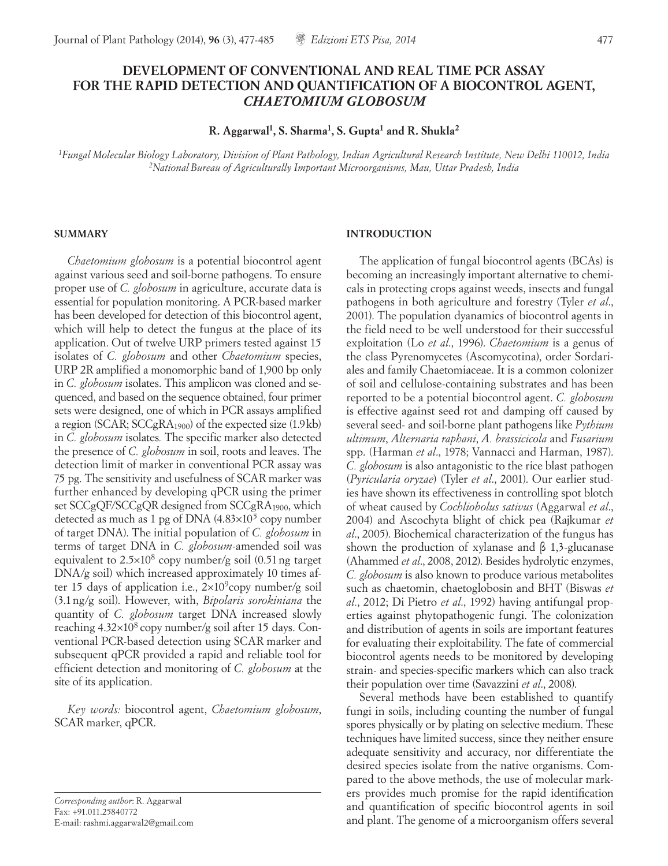# **DEVELOPMENT OF CONVENTIONAL AND REAL TIME PCR ASSAY FOR THE RAPID DETECTION AND QUANTIFICATION OF A BIOCONTROL AGENT,**  *CHAETOMIUM GLOBOSUM*

**R. Aggarwal1, S. Sharma1, S. Gupta1 and R. Shukla2**

*1Fungal Molecular Biology Laboratory, Division of Plant Pathology, Indian Agricultural Research Institute, New Delhi 110012, India 2National Bureau of Agriculturally Important Microorganisms, Mau, Uttar Pradesh, India*

#### **SUMMARY**

*Chaetomium globosum* is a potential biocontrol agent against various seed and soil-borne pathogens. To ensure proper use of *C. globosum* in agriculture, accurate data is essential for population monitoring. A PCR-based marker has been developed for detection of this biocontrol agent, which will help to detect the fungus at the place of its application. Out of twelve URP primers tested against 15 isolates of *C. globosum* and other *Chaetomium* species, URP 2R amplified a monomorphic band of 1,900 bp only in *C. globosum* isolates. This amplicon was cloned and sequenced, and based on the sequence obtained, four primer sets were designed, one of which in PCR assays amplified a region (SCAR;  $SCCgRA<sub>1900</sub>$ ) of the expected size (1.9kb) in *C. globosum* isolates*.* The specific marker also detected the presence of *C. globosum* in soil, roots and leaves. The detection limit of marker in conventional PCR assay was 75 pg. The sensitivity and usefulness of SCAR marker was further enhanced by developing qPCR using the primer set SCCgQF/SCCgQR designed from SCCgRA<sub>1900</sub>, which detected as much as 1 pg of DNA  $(4.83\times10^{5}$  copy number of target DNA). The initial population of *C. globosum* in terms of target DNA in *C. globosum*-amended soil was equivalent to  $2.5 \times 10^8$  copy number/g soil (0.51 ng target DNA/g soil) which increased approximately 10 times after 15 days of application i.e.,  $2\times10^9$ copy number/g soil (3.1ng/g soil). However, with, *Bipolaris sorokiniana* the quantity of *C. globosum* target DNA increased slowly reaching  $4.32\times10^8$  copy number/g soil after 15 days. Conventional PCR-based detection using SCAR marker and subsequent qPCR provided a rapid and reliable tool for efficient detection and monitoring of *C. globosum* at the site of its application.

*Key words:* biocontrol agent, *Chaetomium globosum*, SCAR marker, qPCR.

*Corresponding author*: R. Aggarwal Fax: +91.011.25840772 E-mail: rashmi.aggarwal2@gmail.com

# **INTRODUCTION**

The application of fungal biocontrol agents (BCAs) is becoming an increasingly important alternative to chemicals in protecting crops against weeds, insects and fungal pathogens in both agriculture and forestry (Tyler *et al*., 2001). The population dyanamics of biocontrol agents in the field need to be well understood for their successful exploitation (Lo *et al*., 1996). *Chaetomium* is a genus of the class Pyrenomycetes (Ascomycotina), order Sordariales and family Chaetomiaceae. It is a common colonizer of soil and cellulose-containing substrates and has been reported to be a potential biocontrol agent. *C. globosum* is effective against seed rot and damping off caused by several seed- and soil-borne plant pathogens like *Pythium ultimum*, *Alternaria raphani*, *A. brassicicola* and *Fusarium*  spp. (Harman *et al*., 1978; Vannacci and Harman, 1987). *C. globosum* is also antagonistic to the rice blast pathogen (*Pyricularia oryzae*) (Tyler *et al*., 2001). Our earlier studies have shown its effectiveness in controlling spot blotch of wheat caused by *Cochliobolus sativus* (Aggarwal *et al*., 2004) and Ascochyta blight of chick pea (Rajkumar *et al*., 2005). Biochemical characterization of the fungus has shown the production of xylanase and β 1,3-glucanase (Ahammed *et al*., 2008, 2012). Besides hydrolytic enzymes, *C. globosum* is also known to produce various metabolites such as chaetomin, chaetoglobosin and BHT (Biswas *et al.*, 2012; Di Pietro *et al*., 1992) having antifungal properties against phytopathogenic fungi. The colonization and distribution of agents in soils are important features for evaluating their exploitability. The fate of commercial biocontrol agents needs to be monitored by developing strain- and species-specific markers which can also track their population over time (Savazzini *et al*., 2008).

Several methods have been established to quantify fungi in soils, including counting the number of fungal spores physically or by plating on selective medium. These techniques have limited success, since they neither ensure adequate sensitivity and accuracy, nor differentiate the desired species isolate from the native organisms. Compared to the above methods, the use of molecular markers provides much promise for the rapid identification and quantification of specific biocontrol agents in soil and plant. The genome of a microorganism offers several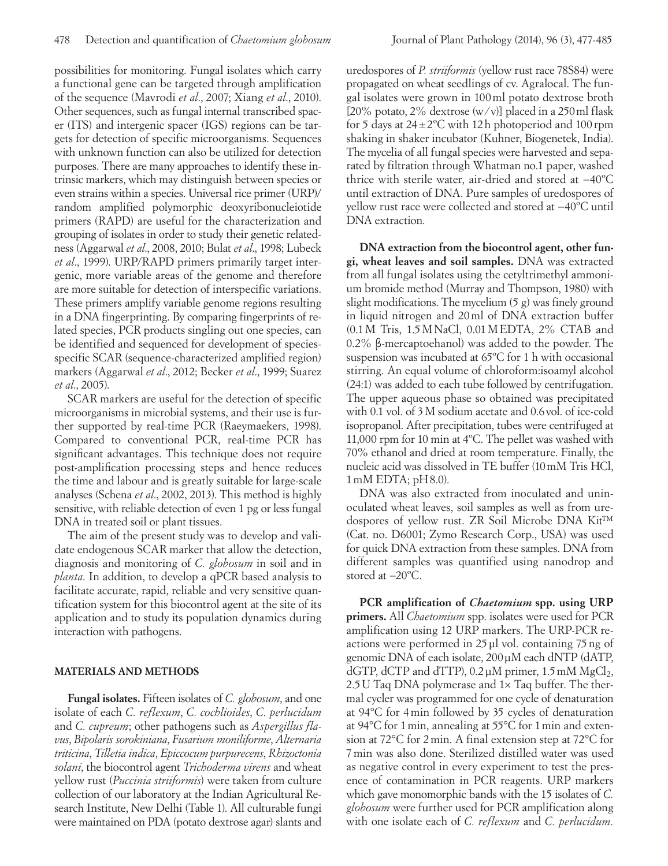possibilities for monitoring. Fungal isolates which carry a functional gene can be targeted through amplification of the sequence (Mavrodi *et al*., 2007; Xiang *et al*., 2010). Other sequences, such as fungal internal transcribed spacer (ITS) and intergenic spacer (IGS) regions can be targets for detection of specific microorganisms. Sequences with unknown function can also be utilized for detection purposes. There are many approaches to identify these intrinsic markers, which may distinguish between species or even strains within a species. Universal rice primer (URP)/ random amplified polymorphic deoxyribonucleiotide primers (RAPD) are useful for the characterization and grouping of isolates in order to study their genetic relatedness (Aggarwal *et al*., 2008, 2010; Bulat *et al*., 1998; Lubeck *et al*., 1999). URP/RAPD primers primarily target intergenic, more variable areas of the genome and therefore are more suitable for detection of interspecific variations. These primers amplify variable genome regions resulting in a DNA fingerprinting. By comparing fingerprints of related species, PCR products singling out one species, can be identified and sequenced for development of speciesspecific SCAR (sequence-characterized amplified region) markers (Aggarwal *et al*., 2012; Becker *et al*., 1999; Suarez *et al*., 2005).

SCAR markers are useful for the detection of specific microorganisms in microbial systems, and their use is further supported by real-time PCR (Raeymaekers, 1998). Compared to conventional PCR, real-time PCR has significant advantages. This technique does not require post-amplification processing steps and hence reduces the time and labour and is greatly suitable for large-scale analyses (Schena *et al*., 2002, 2013). This method is highly sensitive, with reliable detection of even 1 pg or less fungal DNA in treated soil or plant tissues.

The aim of the present study was to develop and validate endogenous SCAR marker that allow the detection, diagnosis and monitoring of *C. globosum* in soil and in *planta*. In addition, to develop a qPCR based analysis to facilitate accurate, rapid, reliable and very sensitive quantification system for this biocontrol agent at the site of its application and to study its population dynamics during interaction with pathogens.

### **MATERIALS AND METHODS**

**Fungal isolates.** Fifteen isolates of *C. globosum*, and one isolate of each *C. reflexum*, *C. cochlioides*, *C. perlucidum* and *C. cupreum*; other pathogens such as *Aspergillus flavus*, *Bipolaris sorokiniana*, *Fusarium moniliforme*, *Alternaria triticina*, *Tilletia indica*, *Epiccocum purpurecens*, *Rhizoctonia solani*, the biocontrol agent *Trichoderma virens* and wheat yellow rust (*Puccinia striiformis*) were taken from culture collection of our laboratory at the Indian Agricultural Research Institute, New Delhi (Table 1). All culturable fungi were maintained on PDA (potato dextrose agar) slants and

uredospores of *P. striiformis* (yellow rust race 78S84) were propagated on wheat seedlings of cv. Agralocal. The fungal isolates were grown in 100ml potato dextrose broth [20% potato, 2% dextrose  $(w/v)$ ] placed in a 250 ml flask for 5 days at  $24 \pm 2$ °C with 12 h photoperiod and 100 rpm shaking in shaker incubator (Kuhner, Biogenetek, India). The mycelia of all fungal species were harvested and separated by filtration through Whatman no.1 paper, washed thrice with sterile water, air-dried and stored at −40ºC until extraction of DNA. Pure samples of uredospores of yellow rust race were collected and stored at −40ºC until DNA extraction.

**DNA extraction from the biocontrol agent, other fungi, wheat leaves and soil samples.** DNA was extracted from all fungal isolates using the cetyltrimethyl ammonium bromide method (Murray and Thompson, 1980) with slight modifications. The mycelium (5 g) was finely ground in liquid nitrogen and 20ml of DNA extraction buffer (0.1M Tris, 1.5MNaCl, 0.01MEDTA, 2% CTAB and 0.2% β-mercaptoehanol) was added to the powder. The suspension was incubated at 65ºC for 1 h with occasional stirring. An equal volume of chloroform:isoamyl alcohol (24:1) was added to each tube followed by centrifugation. The upper aqueous phase so obtained was precipitated with 0.1 vol. of 3M sodium acetate and 0.6vol. of ice-cold isopropanol. After precipitation, tubes were centrifuged at 11,000 rpm for 10 min at 4ºC. The pellet was washed with 70% ethanol and dried at room temperature. Finally, the nucleic acid was dissolved in TE buffer (10mM Tris HCl,  $1 \text{ mM EDTA}$ ;  $pH8.0$ ).

DNA was also extracted from inoculated and uninoculated wheat leaves, soil samples as well as from uredospores of yellow rust. ZR Soil Microbe DNA Kit™ (Cat. no. D6001; Zymo Research Corp., USA) was used for quick DNA extraction from these samples. DNA from different samples was quantified using nanodrop and stored at −20ºC.

**PCR amplification of** *Chaetomium* **spp. using URP primers.** All *Chaetomium* spp. isolates were used for PCR amplification using 12 URP markers. The URP-PCR reactions were performed in 25µl vol. containing 75ng of genomic DNA of each isolate, 200µM each dNTP (dATP, dGTP, dCTP and dTTP),  $0.2 \mu$ M primer,  $1.5 \text{ mM } MgCl_2$ , 2.5U Taq DNA polymerase and 1× Taq buffer. The thermal cycler was programmed for one cycle of denaturation at 94°C for 4min followed by 35 cycles of denaturation at 94°C for 1min, annealing at 55°C for 1min and extension at 72°C for 2min. A final extension step at 72°C for 7min was also done. Sterilized distilled water was used as negative control in every experiment to test the presence of contamination in PCR reagents. URP markers which gave monomorphic bands with the 15 isolates of *C. globosum* were further used for PCR amplification along with one isolate each of *C. reflexum* and *C. perlucidum.*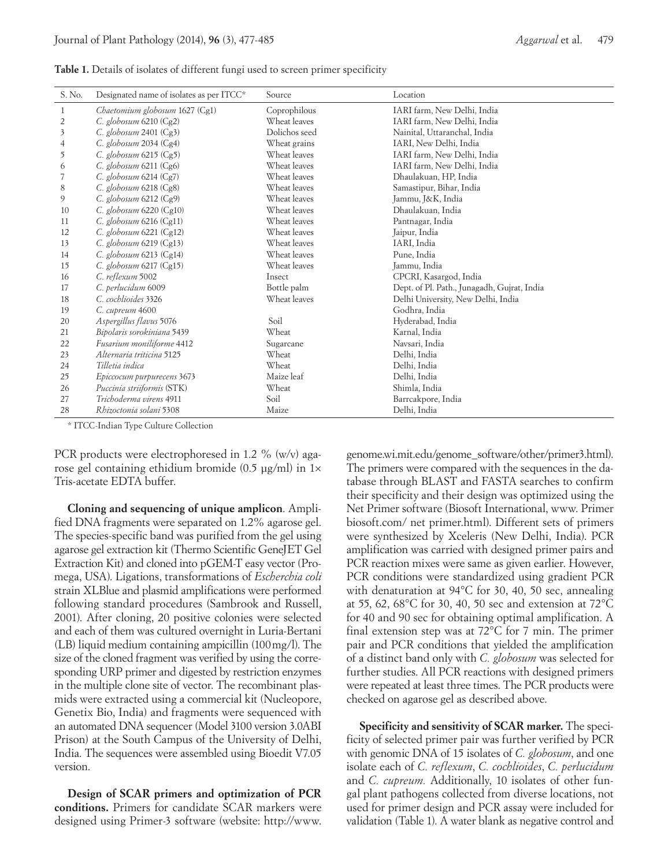|  |  |  | Table 1. Details of isolates of different fungi used to screen primer specificity |  |  |  |
|--|--|--|-----------------------------------------------------------------------------------|--|--|--|
|  |  |  |                                                                                   |  |  |  |

| S. No. | Designated name of isolates as per ITCC* | Source        | Location                                    |
|--------|------------------------------------------|---------------|---------------------------------------------|
| 1      | Chaetomium globosum 1627 (Cg1)           | Coprophilous  | IARI farm, New Delhi, India                 |
| 2      | C. globosum $6210$ (Cg2)                 | Wheat leaves  | IARI farm, New Delhi, India                 |
| 3      | C. globosum 2401 (Cg3)                   | Dolichos seed | Nainital, Uttaranchal, India                |
| 4      | C. globosum $2034$ (Cg4)                 | Wheat grains  | IARI, New Delhi, India                      |
| 5      | C. globosum $6215$ (Cg5)                 | Wheat leaves  | IARI farm, New Delhi, India                 |
| 6      | C. globosum 6211 (Cg6)                   | Wheat leaves  | IARI farm, New Delhi, India                 |
|        | C. globosum 6214 (Cg7)                   | Wheat leaves  | Dhaulakuan, HP, India                       |
| 8      | C. globosum 6218 (Cg8)                   | Wheat leaves  | Samastipur, Bihar, India                    |
| 9      | C. globosum $6212$ (Cg9)                 | Wheat leaves  | Jammu, J&K, India                           |
| 10     | C. globosum 6220 (Cg10)                  | Wheat leaves  | Dhaulakuan, India                           |
| 11     | C. globosum $6216$ (Cg11)                | Wheat leaves  | Pantnagar, India                            |
| 12     | C. globosum $6221$ (Cg12)                | Wheat leaves  | Jaipur, India                               |
| 13     | C. globosum 6219 (Cg13)                  | Wheat leaves  | IARI, India                                 |
| 14     | C. globosum 6213 (Cg14)                  | Wheat leaves  | Pune, India                                 |
| 15     | C. globosum 6217 (Cg15)                  | Wheat leaves  | Jammu, India                                |
| 16     | C. reflexum 5002                         | Insect        | CPCRI, Kasargod, India                      |
| 17     | C. perlucidum 6009                       | Bottle palm   | Dept. of Pl. Path., Junagadh, Gujrat, India |
| 18     | C. cochlioides 3326                      | Wheat leaves  | Delhi University, New Delhi, India          |
| 19     | C. cupreum 4600                          |               | Godhra, India                               |
| 20     | Aspergillus flavus 5076                  | Soil          | Hyderabad, India                            |
| 21     | Bipolaris sorokiniana 5439               | Wheat         | Karnal, India                               |
| 22     | Fusarium moniliforme 4412                | Sugarcane     | Navsari, India                              |
| 23     | Alternaria triticina 5125                | Wheat         | Delhi, India                                |
| 24     | Tilletia indica                          | Wheat         | Delhi, India                                |
| 25     | Epiccocum purpurecens 3673               | Maize leaf    | Delhi, India                                |
| 26     | Puccinia striiformis (STK)               | Wheat         | Shimla, India                               |
| 27     | Trichoderma virens 4911                  | Soil          | Barrcakpore, India                          |
| 28     | Rhizoctonia solani 5308                  | Maize         | Delhi, India                                |

\* ITCC-Indian Type Culture Collection

PCR products were electrophoresed in 1.2 % (w/v) agarose gel containing ethidium bromide (0.5 μg/ml) in 1× Tris-acetate EDTA buffer.

**Cloning and sequencing of unique amplicon**. Amplified DNA fragments were separated on 1.2% agarose gel. The species-specific band was purified from the gel using agarose gel extraction kit (Thermo Scientific GeneJET Gel Extraction Kit) and cloned into pGEM-T easy vector (Promega, USA). Ligations, transformations of *Escherchia coli* strain XLBlue and plasmid amplifications were performed following standard procedures (Sambrook and Russell, 2001). After cloning, 20 positive colonies were selected and each of them was cultured overnight in Luria-Bertani (LB) liquid medium containing ampicillin (100mg/l). The size of the cloned fragment was verified by using the corresponding URP primer and digested by restriction enzymes in the multiple clone site of vector. The recombinant plasmids were extracted using a commercial kit (Nucleopore, Genetix Bio, India) and fragments were sequenced with an automated DNA sequencer (Model 3100 version 3.0ABI Prison) at the South Campus of the University of Delhi, India. The sequences were assembled using Bioedit V7.05 version.

**Design of SCAR primers and optimization of PCR conditions.** Primers for candidate SCAR markers were designed using Primer-3 software (website: http://www.

genome.wi.mit.edu/genome\_software/other/primer3.html). The primers were compared with the sequences in the database through BLAST and FASTA searches to confirm their specificity and their design was optimized using the Net Primer software (Biosoft International, www. Primer biosoft.com/ net primer.html). Different sets of primers were synthesized by Xceleris (New Delhi, India). PCR amplification was carried with designed primer pairs and PCR reaction mixes were same as given earlier. However, PCR conditions were standardized using gradient PCR with denaturation at 94°C for 30, 40, 50 sec, annealing at 55, 62, 68°C for 30, 40, 50 sec and extension at 72°C for 40 and 90 sec for obtaining optimal amplification. A final extension step was at 72°C for 7 min. The primer pair and PCR conditions that yielded the amplification of a distinct band only with *C. globosum* was selected for further studies. All PCR reactions with designed primers were repeated at least three times. The PCR products were checked on agarose gel as described above.

**Specificity and sensitivity of SCAR marker.** The specificity of selected primer pair was further verified by PCR with genomic DNA of 15 isolates of *C. globosum*, and one isolate each of *C. reflexum*, *C. cochlioides*, *C. perlucidum* and *C. cupreum.* Additionally, 10 isolates of other fungal plant pathogens collected from diverse locations, not used for primer design and PCR assay were included for validation (Table 1). A water blank as negative control and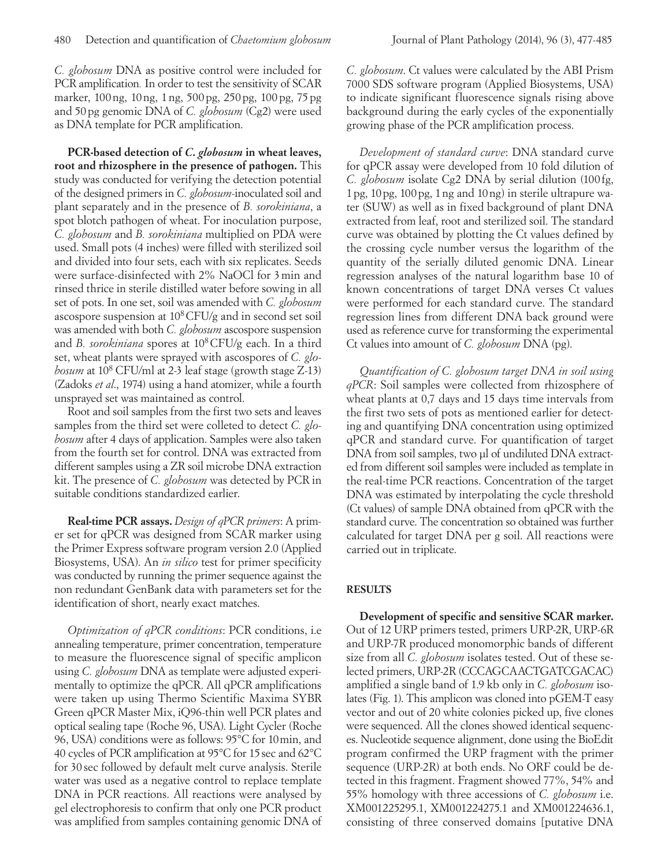*C. globosum* DNA as positive control were included for PCR amplification*.* In order to test the sensitivity of SCAR marker, 100ng, 10ng, 1ng, 500pg, 250pg, 100pg, 75pg and 50pg genomic DNA of *C. globosum* (Cg2) were used as DNA template for PCR amplification.

**PCR-based detection of** *C. globosum* **in wheat leaves, root and rhizosphere in the presence of pathogen.** This study was conducted for verifying the detection potential of the designed primers in *C. globosum*-inoculated soil and plant separately and in the presence of *B. sorokiniana*, a spot blotch pathogen of wheat. For inoculation purpose, *C. globosum* and *B. sorokiniana* multiplied on PDA were used. Small pots (4 inches) were filled with sterilized soil and divided into four sets, each with six replicates. Seeds were surface-disinfected with 2% NaOCl for 3min and rinsed thrice in sterile distilled water before sowing in all set of pots. In one set, soil was amended with *C. globosum*  ascospore suspension at 108CFU/g and in second set soil was amended with both *C. globosum* ascospore suspension and *B. sorokiniana* spores at 108CFU/g each. In a third set, wheat plants were sprayed with ascospores of *C. globosum* at 108 CFU/ml at 2-3 leaf stage (growth stage Z-13) (Zadoks *et al*., 1974) using a hand atomizer, while a fourth unsprayed set was maintained as control.

Root and soil samples from the first two sets and leaves samples from the third set were colleted to detect *C. globosum* after 4 days of application. Samples were also taken from the fourth set for control. DNA was extracted from different samples using a ZR soil microbe DNA extraction kit. The presence of *C. globosum* was detected by PCR in suitable conditions standardized earlier.

**Real-time PCR assays.** *Design of qPCR primers*: A primer set for qPCR was designed from SCAR marker using the Primer Express software program version 2.0 (Applied Biosystems, USA). An *in silico* test for primer specificity was conducted by running the primer sequence against the non redundant GenBank data with parameters set for the identification of short, nearly exact matches.

*Optimization of qPCR conditions*: PCR conditions, i.e annealing temperature, primer concentration, temperature to measure the fluorescence signal of specific amplicon using *C. globosum* DNA as template were adjusted experimentally to optimize the qPCR. All qPCR amplifications were taken up using Thermo Scientific Maxima SYBR Green qPCR Master Mix, iQ96-thin well PCR plates and optical sealing tape (Roche 96, USA). Light Cycler (Roche 96, USA) conditions were as follows: 95°C for 10min, and 40 cycles of PCR amplification at 95°C for 15sec and 62°C for 30 sec followed by default melt curve analysis. Sterile water was used as a negative control to replace template DNA in PCR reactions. All reactions were analysed by gel electrophoresis to confirm that only one PCR product was amplified from samples containing genomic DNA of

*C. globosum*. Ct values were calculated by the ABI Prism 7000 SDS software program (Applied Biosystems, USA) to indicate significant fluorescence signals rising above background during the early cycles of the exponentially growing phase of the PCR amplification process.

*Development of standard curve*: DNA standard curve for qPCR assay were developed from 10 fold dilution of *C. globosum* isolate Cg2 DNA by serial dilution (100 fg, 1pg, 10pg, 100pg, 1ng and 10ng) in sterile ultrapure water (SUW) as well as in fixed background of plant DNA extracted from leaf, root and sterilized soil. The standard curve was obtained by plotting the Ct values defined by the crossing cycle number versus the logarithm of the quantity of the serially diluted genomic DNA. Linear regression analyses of the natural logarithm base 10 of known concentrations of target DNA verses Ct values were performed for each standard curve. The standard regression lines from different DNA back ground were used as reference curve for transforming the experimental Ct values into amount of *C. globosum* DNA (pg).

*Quantification of C. globosum target DNA in soil using qPCR*: Soil samples were collected from rhizosphere of wheat plants at 0,7 days and 15 days time intervals from the first two sets of pots as mentioned earlier for detecting and quantifying DNA concentration using optimized qPCR and standard curve. For quantification of target DNA from soil samples, two µl of undiluted DNA extracted from different soil samples were included as template in the real-time PCR reactions. Concentration of the target DNA was estimated by interpolating the cycle threshold (Ct values) of sample DNA obtained from qPCR with the standard curve. The concentration so obtained was further calculated for target DNA per g soil. All reactions were carried out in triplicate.

# **RESULTS**

**Development of specific and sensitive SCAR marker.** Out of 12 URP primers tested, primers URP-2R, URP-6R and URP-7R produced monomorphic bands of different size from all *C. globosum* isolates tested. Out of these selected primers, URP-2R (CCCAGCAACTGATCGACAC) amplified a single band of 1.9 kb only in *C. globosum* isolates (Fig. 1). This amplicon was cloned into pGEM-T easy vector and out of 20 white colonies picked up, five clones were sequenced. All the clones showed identical sequences. Nucleotide sequence alignment, done using the BioEdit program confirmed the URP fragment with the primer sequence (URP-2R) at both ends. No ORF could be detected in this fragment. Fragment showed 77%, 54% and 55% homology with three accessions of *C. globosum* i.e. XM001225295.1, XM001224275.1 and XM001224636.1, consisting of three conserved domains [putative DNA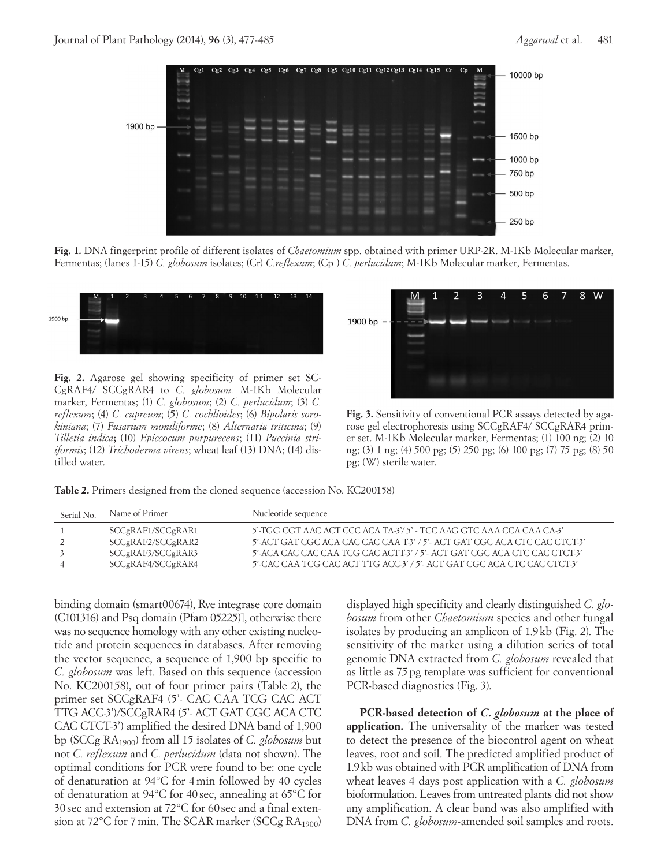

**Fig. 1.** DNA fingerprint profile of different isolates of *Chaetomium* spp. obtained with primer URP-2R. M-1Kb Molecular marker, Fermentas; (lanes 1-15) *C. globosum* isolates; (Cr) *C.reflexum*; (Cp ) *C. perlucidum*; M-1Kb Molecular marker, Fermentas.



**Fig. 2.** Agarose gel showing specificity of primer set SC-CgRAF4/ SCCgRAR4 to *C. globosum.* M-1Kb Molecular marker, Fermentas; (1) *C. globosum*; (2) *C. perlucidum*; (3) *C. reflexum*; (4) *C. cupreum*; (5) *C. cochlioides*; (6) *Bipolaris sorokiniana*; (7) *Fusarium moniliforme*; (8) *Alternaria triticina*; (9) *Tilletia indica***;** (10) *Epiccocum purpurecens*; (11) *Puccinia striiformis*; (12) *Trichoderma virens*; wheat leaf (13) DNA; (14) distilled water.



**Fig. 3.** Sensitivity of conventional PCR assays detected by agarose gel electrophoresis using SCCgRAF4/ SCCgRAR4 primer set. M-1Kb Molecular marker, Fermentas; (1) 100 ng; (2) 10 ng; (3) 1 ng; (4) 500 pg; (5) 250 pg; (6) 100 pg; (7) 75 pg; (8) 50 pg; (W) sterile water.

**Table 2.** Primers designed from the cloned sequence (accession No. KC200158)

| Serial No. | Name of Primer    | Nucleotide sequence                                                       |
|------------|-------------------|---------------------------------------------------------------------------|
|            | SCCgRAF1/SCCgRAR1 | 5' TGG CGT AAC ACT CCC ACA TA-3'/ 5' - TCC AAG GTC AAA CCA CAA CA-3'      |
|            | SCCgRAF2/SCCgRAR2 | 5'-ACT GAT CGC ACA CAC CAC CAA T-3' / 5'- ACT GAT CGC ACA CTC CAC CTCT-3' |
|            | SCCgRAF3/SCCgRAR3 | 5'-ACA CAC CAC CAA TCG CAC ACTT-3' / 5'- ACT GAT CGC ACA CTC CAC CTCT-3'  |
|            | SCCgRAF4/SCCgRAR4 | 5'-CAC CAA TCG CAC ACT TTG ACC-3' / 5'- ACT GAT CGC ACA CTC CAC CTCT-3'   |

binding domain (smart00674), Rve integrase core domain (C101316) and Psq domain (Pfam 05225)], otherwise there was no sequence homology with any other existing nucleotide and protein sequences in databases. After removing the vector sequence, a sequence of 1,900 bp specific to *C. globosum* was left*.* Based on this sequence (accession No. KC200158), out of four primer pairs (Table 2), the primer set SCCgRAF4 (5'- CAC CAA TCG CAC ACT TTG ACC-3')/SCCgRAR4 (5'- ACT GAT CGC ACA CTC CAC CTCT-3') amplified the desired DNA band of 1,900 bp (SCCg RA1900) from all 15 isolates of *C. globosum* but not *C. reflexum* and *C. perlucidum* (data not shown). The optimal conditions for PCR were found to be: one cycle of denaturation at 94°C for 4min followed by 40 cycles of denaturation at 94°C for 40 sec, annealing at 65°C for 30 sec and extension at 72°C for 60 sec and a final extension at  $72^{\circ}$ C for 7 min. The SCAR marker (SCCg RA<sub>1900</sub>)

displayed high specificity and clearly distinguished *C. globosum* from other *Chaetomium* species and other fungal isolates by producing an amplicon of 1.9 kb (Fig. 2). The sensitivity of the marker using a dilution series of total genomic DNA extracted from *C. globosum* revealed that as little as 75 pg template was sufficient for conventional PCR-based diagnostics (Fig. 3).

**PCR-based detection of** *C. globosum* **at the place of application.** The universality of the marker was tested to detect the presence of the biocontrol agent on wheat leaves, root and soil. The predicted amplified product of 1.9kb was obtained with PCR amplification of DNA from wheat leaves 4 days post application with a *C. globosum* bioformulation. Leaves from untreated plants did not show any amplification. A clear band was also amplified with DNA from *C. globosum-*amended soil samples and roots.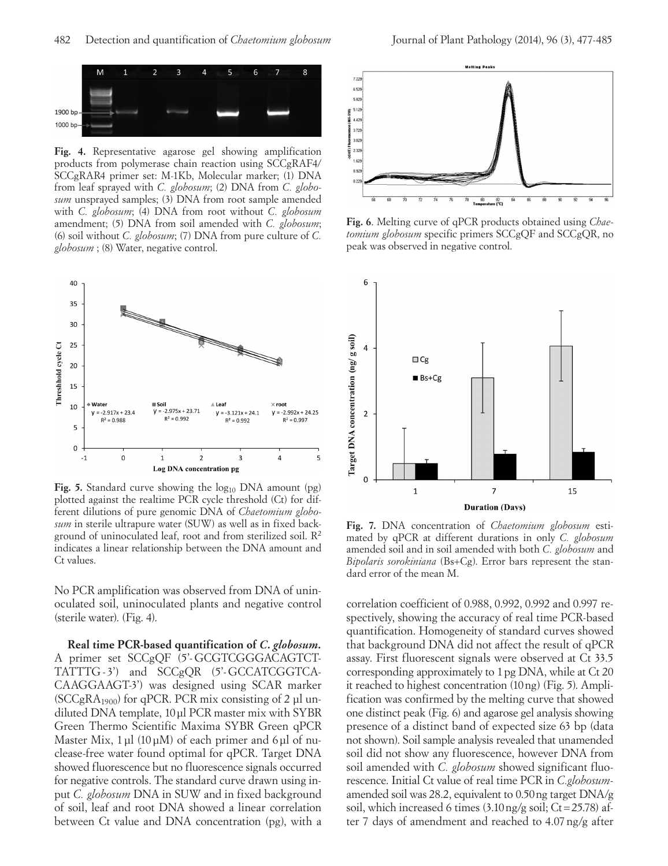

**Fig. 4.** Representative agarose gel showing amplification products from polymerase chain reaction using SCCgRAF4/ SCCgRAR4 primer set: M-1Kb, Molecular marker; (1) DNA from leaf sprayed with *C. globosum*; (2) DNA from *C. globosum* unsprayed samples; (3) DNA from root sample amended with *C. globosum*; (4) DNA from root without *C. globosum* amendment; (5) DNA from soil amended with *C. globosum*; (6) soil without *C. globosum*; (7) DNA from pure culture of *C. globosum* ; (8) Water, negative control.



**Fig. 5.** Standard curve showing the log<sub>10</sub> DNA amount (pg) plotted against the realtime PCR cycle threshold (Ct) for different dilutions of pure genomic DNA of *Chaetomium globosum* in sterile ultrapure water (SUW) as well as in fixed background of uninoculated leaf, root and from sterilized soil.  $\mathbb{R}^2$ indicates a linear relationship between the DNA amount and Ct values.

No PCR amplification was observed from DNA of uninoculated soil, uninoculated plants and negative control (sterile water). (Fig. 4).

**Real time PCR-based quantification of** *C. globosum.* A primer set SCCgQF (5'-GCGTCGGGACAGTCT-TATTTG-3') and SCCgOR (5'-GCCATCGGTCA-CAAGGAAGT-3') was designed using SCAR marker ( $SCCgRA<sub>1900</sub>$ ) for qPCR. PCR mix consisting of 2 µl undiluted DNA template, 10µl PCR master mix with SYBR Green Thermo Scientific Maxima SYBR Green qPCR Master Mix,  $1 \mu l$  (10 $\mu$ M) of each primer and 6 $\mu$ l of nuclease-free water found optimal for qPCR. Target DNA showed fluorescence but no fluorescence signals occurred for negative controls. The standard curve drawn using input *C. globosum* DNA in SUW and in fixed background of soil, leaf and root DNA showed a linear correlation between Ct value and DNA concentration (pg), with a



**Fig. 6**. Melting curve of qPCR products obtained using *Chaetomium globosum* specific primers SCCgQF and SCCgQR, no peak was observed in negative control.



**Fig. 7.** DNA concentration of *Chaetomium globosum* estimated by qPCR at different durations in only *C. globosum* amended soil and in soil amended with both *C. globosum* and *Bipolaris sorokiniana* (Bs+Cg). Error bars represent the standard error of the mean M.

correlation coefficient of 0.988, 0.992, 0.992 and 0.997 respectively, showing the accuracy of real time PCR-based quantification. Homogeneity of standard curves showed that background DNA did not affect the result of qPCR assay. First fluorescent signals were observed at Ct 33.5 corresponding approximately to 1pg DNA, while at Ct 20 it reached to highest concentration (10ng) (Fig. 5). Amplification was confirmed by the melting curve that showed one distinct peak (Fig. 6) and agarose gel analysis showing presence of a distinct band of expected size 63 bp (data not shown). Soil sample analysis revealed that unamended soil did not show any fluorescence, however DNA from soil amended with *C. globosum* showed significant fluorescence. Initial Ct value of real time PCR in *C.globosum*amended soil was 28.2, equivalent to 0.50ng target DNA/g soil, which increased 6 times  $(3.10 \text{ ng/g soil}; Ct=25.78)$  after 7 days of amendment and reached to 4.07ng/g after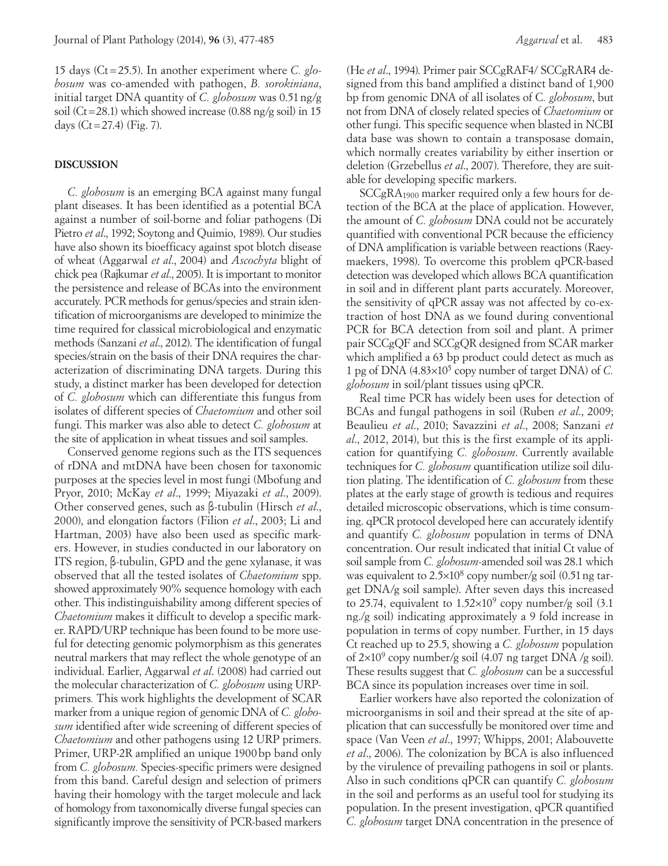15 days (Ct=25.5). In another experiment where *C. globosum* was co-amended with pathogen, *B. sorokiniana*, initial target DNA quantity of *C. globosum* was 0.51ng/g soil (Ct=28.1) which showed increase (0.88 ng/g soil) in 15 days  $(Ct = 27.4)$  (Fig. 7).

#### **DISCUSSION**

*C. globosum* is an emerging BCA against many fungal plant diseases. It has been identified as a potential BCA against a number of soil-borne and foliar pathogens (Di Pietro *et al*., 1992; Soytong and Quimio, 1989). Our studies have also shown its bioefficacy against spot blotch disease of wheat (Aggarwal *et al*., 2004) and *Ascochyta* blight of chick pea (Rajkumar *et al*., 2005). It is important to monitor the persistence and release of BCAs into the environment accurately. PCR methods for genus/species and strain identification of microorganisms are developed to minimize the time required for classical microbiological and enzymatic methods (Sanzani *et al*., 2012). The identification of fungal species/strain on the basis of their DNA requires the characterization of discriminating DNA targets. During this study, a distinct marker has been developed for detection of *C. globosum* which can differentiate this fungus from isolates of different species of *Chaetomium* and other soil fungi. This marker was also able to detect *C. globosum* at the site of application in wheat tissues and soil samples.

Conserved genome regions such as the ITS sequences of rDNA and mtDNA have been chosen for taxonomic purposes at the species level in most fungi (Mbofung and Pryor, 2010; McKay *et al*., 1999; Miyazaki *et al*., 2009). Other conserved genes, such as β-tubulin (Hirsch *et al*., 2000), and elongation factors (Filion *et al*., 2003; Li and Hartman, 2003) have also been used as specific markers. However, in studies conducted in our laboratory on ITS region, β-tubulin, GPD and the gene xylanase, it was observed that all the tested isolates of *Chaetomium* spp. showed approximately 90% sequence homology with each other. This indistinguishability among different species of *Chaetomium* makes it difficult to develop a specific marker. RAPD/URP technique has been found to be more useful for detecting genomic polymorphism as this generates neutral markers that may reflect the whole genotype of an individual. Earlier, Aggarwal *et al*. (2008) had carried out the molecular characterization of *C. globosum* using URPprimers*.* This work highlights the development of SCAR marker from a unique region of genomic DNA of *C. globosum* identified after wide screening of different species of *Chaetomium* and other pathogens using 12 URP primers. Primer, URP-2R amplified an unique 1900bp band only from *C. globosum.* Species-specific primers were designed from this band. Careful design and selection of primers having their homology with the target molecule and lack of homology from taxonomically diverse fungal species can significantly improve the sensitivity of PCR-based markers

(He *et al*., 1994). Primer pair SCCgRAF4/ SCCgRAR4 designed from this band amplified a distinct band of 1,900 bp from genomic DNA of all isolates of C*. globosum*, but not from DNA of closely related species of *Chaetomium* or other fungi. This specific sequence when blasted in NCBI data base was shown to contain a transposase domain, which normally creates variability by either insertion or deletion (Grzebellus *et al*., 2007). Therefore, they are suitable for developing specific markers.

SCCgRA<sub>1900</sub> marker required only a few hours for detection of the BCA at the place of application. However, the amount of *C. globosum* DNA could not be accurately quantified with conventional PCR because the efficiency of DNA amplification is variable between reactions (Raeymaekers, 1998). To overcome this problem qPCR-based detection was developed which allows BCA quantification in soil and in different plant parts accurately. Moreover, the sensitivity of qPCR assay was not affected by co-extraction of host DNA as we found during conventional PCR for BCA detection from soil and plant. A primer pair SCCgQF and SCCgQR designed from SCAR marker which amplified a 63 bp product could detect as much as 1 pg of DNA (4.83×105 copy number of target DNA) of *C. globosum* in soil/plant tissues using qPCR.

Real time PCR has widely been uses for detection of BCAs and fungal pathogens in soil (Ruben *et al*., 2009; Beaulieu *et al*., 2010; Savazzini *et al*., 2008; Sanzani *et al*., 2012, 2014), but this is the first example of its application for quantifying *C. globosum*. Currently available techniques for *C. globosum* quantification utilize soil dilution plating. The identification of *C. globosum* from these plates at the early stage of growth is tedious and requires detailed microscopic observations, which is time consuming. qPCR protocol developed here can accurately identify and quantify *C. globosum* population in terms of DNA concentration. Our result indicated that initial Ct value of soil sample from *C. globosum*-amended soil was 28.1 which was equivalent to  $2.5 \times 10^8$  copy number/g soil (0.51 ng target DNA/g soil sample). After seven days this increased to 25.74, equivalent to  $1.52\times10^{9}$  copy number/g soil (3.1) ng./g soil) indicating approximately a 9 fold increase in population in terms of copy number. Further, in 15 days Ct reached up to 25.5, showing a *C. globosum* population of  $2\times10^9$  copy number/g soil (4.07 ng target DNA /g soil). These results suggest that *C. globosum* can be a successful BCA since its population increases over time in soil.

Earlier workers have also reported the colonization of microorganisms in soil and their spread at the site of application that can successfully be monitored over time and space (Van Veen *et al*., 1997; Whipps, 2001; Alabouvette *et al*., 2006). The colonization by BCA is also influenced by the virulence of prevailing pathogens in soil or plants. Also in such conditions qPCR can quantify *C. globosum* in the soil and performs as an useful tool for studying its population. In the present investigation, qPCR quantified *C. globosum* target DNA concentration in the presence of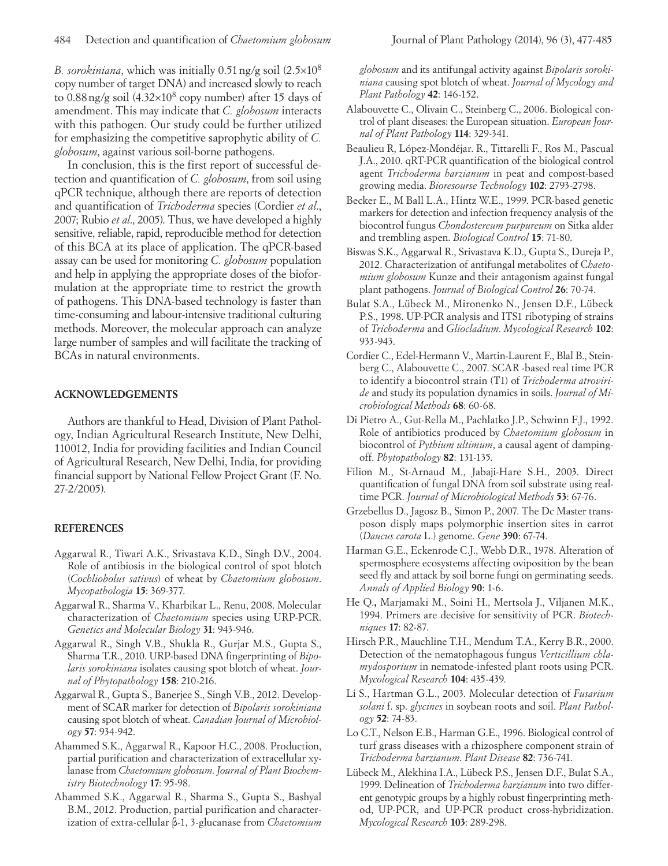*B. sorokiniana*, which was initially 0.51ng/g soil (2.5×108 copy number of target DNA) and increased slowly to reach to 0.88ng/g soil (4.32×108 copy number) after 15 days of amendment. This may indicate that *C. globosum* interacts with this pathogen. Our study could be further utilized for emphasizing the competitive saprophytic ability of *C. globosum*, against various soil-borne pathogens.

In conclusion, this is the first report of successful detection and quantification of *C. globosum*, from soil using qPCR technique, although there are reports of detection and quantification of *Trichoderma* species (Cordier *et al*., 2007; Rubio *et al*., 2005). Thus, we have developed a highly sensitive, reliable, rapid, reproducible method for detection of this BCA at its place of application. The qPCR-based assay can be used for monitoring *C. globosum* population and help in applying the appropriate doses of the bioformulation at the appropriate time to restrict the growth of pathogens. This DNA-based technology is faster than time-consuming and labour-intensive traditional culturing methods. Moreover, the molecular approach can analyze large number of samples and will facilitate the tracking of BCAs in natural environments.

#### **ACKNOWLEDGEMENTS**

Authors are thankful to Head, Division of Plant Pathology, Indian Agricultural Research Institute, New Delhi, 110012, India for providing facilities and Indian Council of Agricultural Research, New Delhi, India, for providing financial support by National Fellow Project Grant (F. No. 27-2/2005).

# **REFERENCES**

- Aggarwal R., Tiwari A.K., Srivastava K.D., Singh D.V., 2004. Role of antibiosis in the biological control of spot blotch (*Cochliobolus sativus*) of wheat by *Chaetomium globosum*. *Mycopathologia* **15**: 369-377.
- Aggarwal R., Sharma V., Kharbikar L., Renu, 2008. Molecular characterization of *Chaetomium* species using URP-PCR. *Genetics and Molecular Biology* **31**: 943-946.
- Aggarwal R., Singh V.B., Shukla R., Gurjar M.S., Gupta S., Sharma T.R., 2010. URP-based DNA fingerprinting of *Bipolaris sorokiniana* isolates causing spot blotch of wheat. *Journal of Phytopathology* **158**: 210-216.
- Aggarwal R., Gupta S., Banerjee S., Singh V.B., 2012. Development of SCAR marker for detection of *Bipolaris sorokiniana* causing spot blotch of wheat. *Canadian Journal of Microbiology* **57**: 934-942.
- Ahammed S.K., Aggarwal R., Kapoor H.C., 2008. Production, partial purification and characterization of extracellular xylanase from *Chaetomium globosum*. *Journal of Plant Biochemistry Biotechnology* **17**: 95-98.
- Ahammed S.K., Aggarwal R., Sharma S., Gupta S., Bashyal B.M., 2012. Production, partial purification and characterization of extra-cellular β-1, 3-glucanase from *Chaetomium*

*globosum* and its antifungal activity against *Bipolaris sorokiniana* causing spot blotch of wheat. *Journal of Mycology and Plant Pathology* **42**: 146-152.

- Alabouvette C., Olivain C., Steinberg C., 2006. Biological control of plant diseases: the European situation. *European Journal of Plant Pathology* **114**: 329-341.
- Beaulieu R, López-Mondéjar. R., Tittarelli F., Ros M., Pascual J.A., 2010. qRT-PCR quantification of the biological control agent *Trichoderma harzianum* in peat and compost-based growing media. *Bioresourse Technology* **102**: 2793-2798.
- Becker E., M Ball L.A., Hintz W.E., 1999. PCR-based genetic markers for detection and infection frequency analysis of the biocontrol fungus *Chondostereum purpureum* on Sitka alder and trembling aspen. *Biological Control* **15**: 71-80.
- Biswas S.K., Aggarwal R., Srivastava K.D., Gupta S., Dureja P., 2012. Characterization of antifungal metabolites of C*haetomium globosum* Kunze and their antagonism against fungal plant pathogens. *Journal of Biological Control* **26**: 70-74.
- Bulat S.A., Lübeck M., Mironenko N., Jensen D.F., Lübeck P.S., 1998. UP-PCR analysis and ITS1 ribotyping of strains of *Trichoderma* and *Gliocladium*. *Mycological Research* **102**: 933-943.
- Cordier C., Edel-Hermann V., Martin-Laurent F., Blal B., Steinberg C., Alabouvette C., 2007. SCAR -based real time PCR to identify a biocontrol strain (T1) of *Trichoderma atroviride* and study its population dynamics in soils. *Journal of Microbiological Methods* **68**: 60-68.
- Di Pietro A., Gut-Rella M., Pachlatko J.P., Schwinn F.J., 1992. Role of antibiotics produced by *Chaetomium globosum* in biocontrol of *Pythium ultimum*, a causal agent of dampingoff. *Phytopathology* **82**: 131-135.
- Filion M., St-Arnaud M., Jabaji-Hare S.H., 2003. Direct quantification of fungal DNA from soil substrate using realtime PCR. *Journal of Microbiological Methods* **53**: 67-76.
- Grzebellus D., Jagosz B., Simon P., 2007. The Dc Master transposon disply maps polymorphic insertion sites in carrot (*Daucus carota* L.) genome. *Gene* **390**: 67-74.
- Harman G.E., Eckenrode C.J., Webb D.R., 1978. Alteration of spermosphere ecosystems affecting oviposition by the bean seed fly and attack by soil borne fungi on germinating seeds. *Annals of Applied Biology* **90**: 1-6.
- He Q.**,** Marjamaki M., Soini H., Mertsola J., Viljanen M.K., 1994. Primers are decisive for sensitivity of PCR. *Biotechniques* **17**: 82-87.
- Hirsch P.R., Mauchline T.H., Mendum T.A., Kerry B.R., 2000. Detection of the nematophagous fungus *Verticillium chlamydosporium* in nematode-infested plant roots using PCR. *Mycological Research* **104**: 435-439.
- Li S., Hartman G.L., 2003. Molecular detection of *Fusarium solani* f. sp. *glycines* in soybean roots and soil. *Plant Pathology* **52**: 74-83.
- Lo C.T., Nelson E.B., Harman G.E., 1996. Biological control of turf grass diseases with a rhizosphere component strain of *Trichoderma harzianum*. *Plant Disease* **82**: 736-741.
- Lübeck M., Alekhina I.A., Lübeck P.S., Jensen D.F., Bulat S.A., 1999. Delineation of *Trichoderma harzianum* into two different genotypic groups by a highly robust fingerprinting method, UP-PCR, and UP-PCR product cross-hybridization. *Mycological Research* **103**: 289-298.